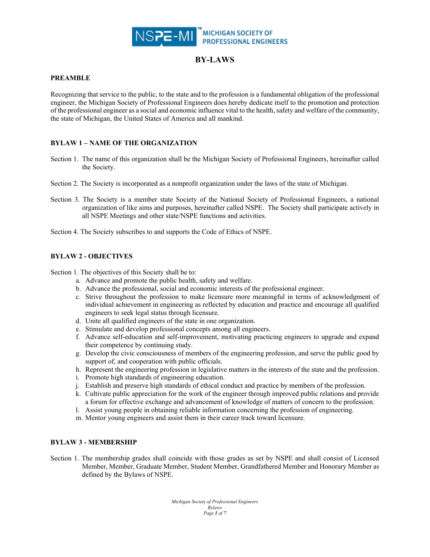

#### **PREAMBLE**

Recognizing that service to the public, to the state and to the profession is a fundamental obligation of the professional engineer, the Michigan Society of Professional Engineers does hereby dedicate itself to the promotion and protection of the professional engineer as a social and economic influence vital to the health, safety and welfare of the community, the state of Michigan, the United States of America and all mankind.

## **BYLAW 1 – NAME OF THE ORGANIZATION**

- Section 1. The name of this organization shall be the Michigan Society of Professional Engineers, hereinafter called the Society.
- Section 2. The Society is incorporated as a nonprofit organization under the laws of the state of Michigan.
- Section 3. The Society is a member state Society of the National Society of Professional Engineers, a national organization of like aims and purposes, hereinafter called NSPE. The Society shall participate actively in all NSPE Meetings and other state/NSPE functions and activities.

Section 4. The Society subscribes to and supports the Code of Ethics of NSPE.

## **BYLAW 2 - OBJECTIVES**

Section 1. The objectives of this Society shall be to:

- a. Advance and promote the public health, safety and welfare.
- b. Advance the professional, social and economic interests of the professional engineer.
- c. Strive throughout the profession to make licensure more meaningful in terms of acknowledgment of individual achievement in engineering as reflected by education and practice and encourage all qualified engineers to seek legal status through licensure.
- d. Unite all qualified engineers of the state in one organization.
- e. Stimulate and develop professional concepts among all engineers.
- f. Advance self-education and self-improvement, motivating practicing engineers to upgrade and expand their competence by continuing study.
- g. Develop the civic consciousness of members of the engineering profession, and serve the public good by support of, and cooperation with public officials.
- h. Represent the engineering profession in legislative matters in the interests of the state and the profession.
- i. Promote high standards of engineering education.
- j. Establish and preserve high standards of ethical conduct and practice by members of the profession.
- k. Cultivate public appreciation for the work of the engineer through improved public relations and provide a forum for effective exchange and advancement of knowledge of matters of concern to the profession.
- l. Assist young people in obtaining reliable information concerning the profession of engineering.
- m. Mentor young engineers and assist them in their career track toward licensure.

## **BYLAW 3 - MEMBERSHIP**

Section 1. The membership grades shall coincide with those grades as set by NSPE and shall consist of Licensed Member, Member, Graduate Member, Student Member, Grandfathered Member and Honorary Member as defined by the Bylaws of NSPE.

> *Michigan Society of Professional Engineers Bylaws Page 1 of 7*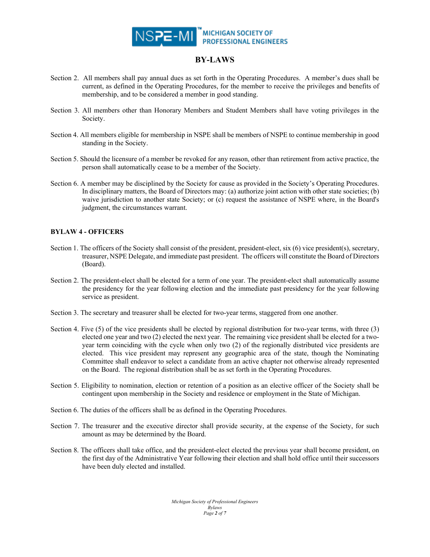

- Section 2. All members shall pay annual dues as set forth in the Operating Procedures. A member's dues shall be current, as defined in the Operating Procedures, for the member to receive the privileges and benefits of membership, and to be considered a member in good standing.
- Section 3. All members other than Honorary Members and Student Members shall have voting privileges in the Society.
- Section 4. All members eligible for membership in NSPE shall be members of NSPE to continue membership in good standing in the Society.
- Section 5. Should the licensure of a member be revoked for any reason, other than retirement from active practice, the person shall automatically cease to be a member of the Society.
- Section 6. A member may be disciplined by the Society for cause as provided in the Society's Operating Procedures. In disciplinary matters, the Board of Directors may: (a) authorize joint action with other state societies; (b) waive jurisdiction to another state Society; or (c) request the assistance of NSPE where, in the Board's judgment, the circumstances warrant.

## **BYLAW 4 - OFFICERS**

- Section 1. The officers of the Society shall consist of the president, president-elect, six (6) vice president(s), secretary, treasurer, NSPE Delegate, and immediate past president. The officers will constitute the Board of Directors (Board).
- Section 2. The president-elect shall be elected for a term of one year. The president-elect shall automatically assume the presidency for the year following election and the immediate past presidency for the year following service as president.
- Section 3. The secretary and treasurer shall be elected for two-year terms, staggered from one another.
- Section 4. Five (5) of the vice presidents shall be elected by regional distribution for two-year terms, with three (3) elected one year and two (2) elected the next year. The remaining vice president shall be elected for a twoyear term coinciding with the cycle when only two (2) of the regionally distributed vice presidents are elected. This vice president may represent any geographic area of the state, though the Nominating Committee shall endeavor to select a candidate from an active chapter not otherwise already represented on the Board. The regional distribution shall be as set forth in the Operating Procedures.
- Section 5. Eligibility to nomination, election or retention of a position as an elective officer of the Society shall be contingent upon membership in the Society and residence or employment in the State of Michigan.
- Section 6. The duties of the officers shall be as defined in the Operating Procedures.
- Section 7. The treasurer and the executive director shall provide security, at the expense of the Society, for such amount as may be determined by the Board.
- Section 8. The officers shall take office, and the president-elect elected the previous year shall become president, on the first day of the Administrative Year following their election and shall hold office until their successors have been duly elected and installed.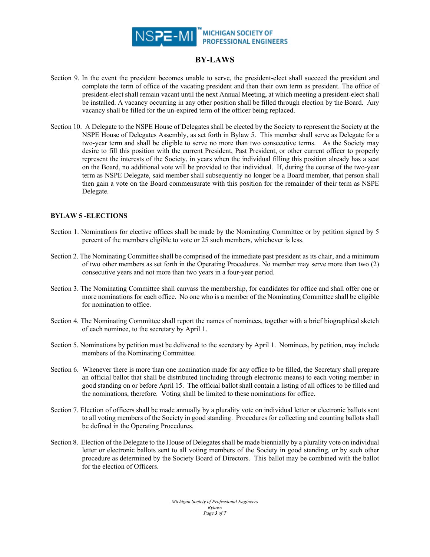

- Section 9. In the event the president becomes unable to serve, the president-elect shall succeed the president and complete the term of office of the vacating president and then their own term as president. The office of president-elect shall remain vacant until the next Annual Meeting, at which meeting a president-elect shall be installed. A vacancy occurring in any other position shall be filled through election by the Board. Any vacancy shall be filled for the un-expired term of the officer being replaced.
- Section 10. A Delegate to the NSPE House of Delegates shall be elected by the Society to represent the Society at the NSPE House of Delegates Assembly, as set forth in Bylaw 5. This member shall serve as Delegate for a two-year term and shall be eligible to serve no more than two consecutive terms. As the Society may desire to fill this position with the current President, Past President, or other current officer to properly represent the interests of the Society, in years when the individual filling this position already has a seat on the Board, no additional vote will be provided to that individual. If, during the course of the two-year term as NSPE Delegate, said member shall subsequently no longer be a Board member, that person shall then gain a vote on the Board commensurate with this position for the remainder of their term as NSPE Delegate.

#### **BYLAW 5 -ELECTIONS**

- Section 1. Nominations for elective offices shall be made by the Nominating Committee or by petition signed by 5 percent of the members eligible to vote or 25 such members, whichever is less.
- Section 2. The Nominating Committee shall be comprised of the immediate past president as its chair, and a minimum of two other members as set forth in the Operating Procedures. No member may serve more than two (2) consecutive years and not more than two years in a four-year period.
- Section 3. The Nominating Committee shall canvass the membership, for candidates for office and shall offer one or more nominations for each office. No one who is a member of the Nominating Committee shall be eligible for nomination to office.
- Section 4. The Nominating Committee shall report the names of nominees, together with a brief biographical sketch of each nominee, to the secretary by April 1.
- Section 5. Nominations by petition must be delivered to the secretary by April 1. Nominees, by petition, may include members of the Nominating Committee.
- Section 6. Whenever there is more than one nomination made for any office to be filled, the Secretary shall prepare an official ballot that shall be distributed (including through electronic means) to each voting member in good standing on or before April 15. The official ballot shall contain a listing of all offices to be filled and the nominations, therefore. Voting shall be limited to these nominations for office.
- Section 7. Election of officers shall be made annually by a plurality vote on individual letter or electronic ballots sent to all voting members of the Society in good standing. Procedures for collecting and counting ballots shall be defined in the Operating Procedures.
- Section 8. Election of the Delegate to the House of Delegates shall be made biennially by a plurality vote on individual letter or electronic ballots sent to all voting members of the Society in good standing, or by such other procedure as determined by the Society Board of Directors. This ballot may be combined with the ballot for the election of Officers.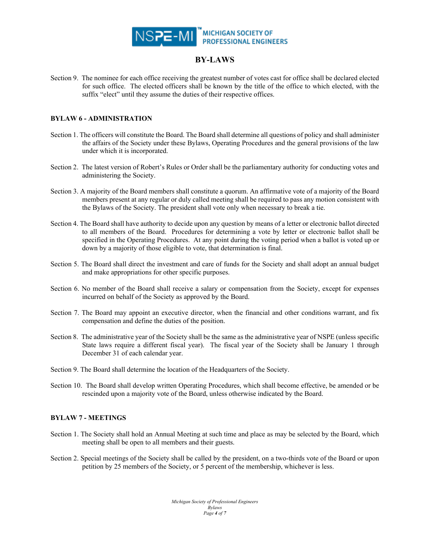

Section 9. The nominee for each office receiving the greatest number of votes cast for office shall be declared elected for such office. The elected officers shall be known by the title of the office to which elected, with the suffix "elect" until they assume the duties of their respective offices.

## **BYLAW 6 - ADMINISTRATION**

- Section 1. The officers will constitute the Board. The Board shall determine all questions of policy and shall administer the affairs of the Society under these Bylaws, Operating Procedures and the general provisions of the law under which it is incorporated.
- Section 2. The latest version of Robert's Rules or Order shall be the parliamentary authority for conducting votes and administering the Society.
- Section 3. A majority of the Board members shall constitute a quorum. An affirmative vote of a majority of the Board members present at any regular or duly called meeting shall be required to pass any motion consistent with the Bylaws of the Society. The president shall vote only when necessary to break a tie.
- Section 4. The Board shall have authority to decide upon any question by means of a letter or electronic ballot directed to all members of the Board. Procedures for determining a vote by letter or electronic ballot shall be specified in the Operating Procedures. At any point during the voting period when a ballot is voted up or down by a majority of those eligible to vote, that determination is final.
- Section 5. The Board shall direct the investment and care of funds for the Society and shall adopt an annual budget and make appropriations for other specific purposes.
- Section 6. No member of the Board shall receive a salary or compensation from the Society, except for expenses incurred on behalf of the Society as approved by the Board.
- Section 7. The Board may appoint an executive director, when the financial and other conditions warrant, and fix compensation and define the duties of the position.
- Section 8. The administrative year of the Society shall be the same as the administrative year of NSPE (unless specific State laws require a different fiscal year). The fiscal year of the Society shall be January 1 through December 31 of each calendar year.
- Section 9. The Board shall determine the location of the Headquarters of the Society.
- Section 10. The Board shall develop written Operating Procedures, which shall become effective, be amended or be rescinded upon a majority vote of the Board, unless otherwise indicated by the Board.

## **BYLAW 7 - MEETINGS**

- Section 1. The Society shall hold an Annual Meeting at such time and place as may be selected by the Board, which meeting shall be open to all members and their guests.
- Section 2. Special meetings of the Society shall be called by the president, on a two-thirds vote of the Board or upon petition by 25 members of the Society, or 5 percent of the membership, whichever is less.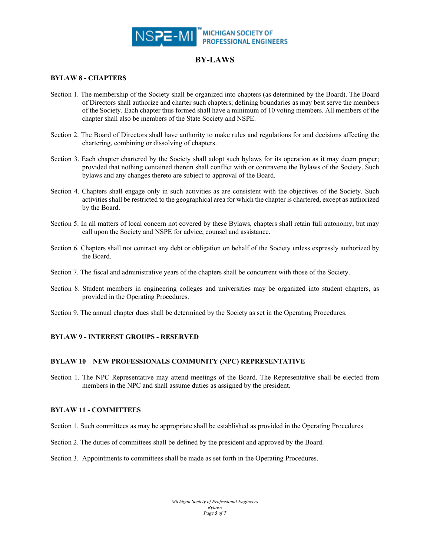

#### **BYLAW 8 - CHAPTERS**

- Section 1. The membership of the Society shall be organized into chapters (as determined by the Board). The Board of Directors shall authorize and charter such chapters; defining boundaries as may best serve the members of the Society. Each chapter thus formed shall have a minimum of 10 voting members. All members of the chapter shall also be members of the State Society and NSPE.
- Section 2. The Board of Directors shall have authority to make rules and regulations for and decisions affecting the chartering, combining or dissolving of chapters.
- Section 3. Each chapter chartered by the Society shall adopt such bylaws for its operation as it may deem proper; provided that nothing contained therein shall conflict with or contravene the Bylaws of the Society. Such bylaws and any changes thereto are subject to approval of the Board.
- Section 4. Chapters shall engage only in such activities as are consistent with the objectives of the Society. Such activities shall be restricted to the geographical area for which the chapter is chartered, except as authorized by the Board.
- Section 5. In all matters of local concern not covered by these Bylaws, chapters shall retain full autonomy, but may call upon the Society and NSPE for advice, counsel and assistance.
- Section 6. Chapters shall not contract any debt or obligation on behalf of the Society unless expressly authorized by the Board.
- Section 7. The fiscal and administrative years of the chapters shall be concurrent with those of the Society.
- Section 8. Student members in engineering colleges and universities may be organized into student chapters, as provided in the Operating Procedures.
- Section 9. The annual chapter dues shall be determined by the Society as set in the Operating Procedures.

## **BYLAW 9 - INTEREST GROUPS - RESERVED**

#### **BYLAW 10 – NEW PROFESSIONALS COMMUNITY (NPC) REPRESENTATIVE**

Section 1. The NPC Representative may attend meetings of the Board. The Representative shall be elected from members in the NPC and shall assume duties as assigned by the president.

#### **BYLAW 11 - COMMITTEES**

- Section 1. Such committees as may be appropriate shall be established as provided in the Operating Procedures.
- Section 2. The duties of committees shall be defined by the president and approved by the Board.

Section 3. Appointments to committees shall be made as set forth in the Operating Procedures.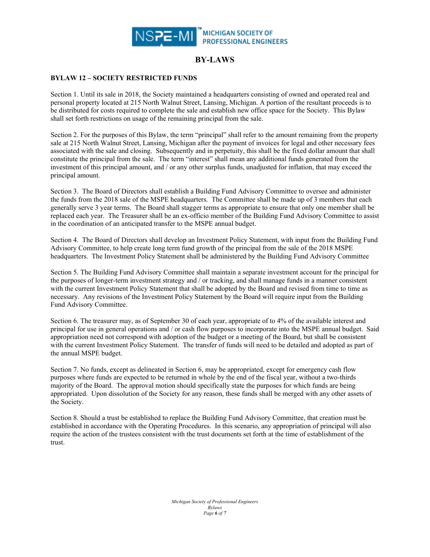

### **BYLAW 12 – SOCIETY RESTRICTED FUNDS**

Section 1. Until its sale in 2018, the Society maintained a headquarters consisting of owned and operated real and personal property located at 215 North Walnut Street, Lansing, Michigan. A portion of the resultant proceeds is to be distributed for costs required to complete the sale and establish new office space for the Society. This Bylaw shall set forth restrictions on usage of the remaining principal from the sale.

Section 2. For the purposes of this Bylaw, the term "principal" shall refer to the amount remaining from the property sale at 215 North Walnut Street, Lansing, Michigan after the payment of invoices for legal and other necessary fees associated with the sale and closing. Subsequently and in perpetuity, this shall be the fixed dollar amount that shall constitute the principal from the sale. The term "interest" shall mean any additional funds generated from the investment of this principal amount, and / or any other surplus funds, unadjusted for inflation, that may exceed the principal amount.

Section 3. The Board of Directors shall establish a Building Fund Advisory Committee to oversee and administer the funds from the 2018 sale of the MSPE headquarters. The Committee shall be made up of 3 members that each generally serve 3 year terms. The Board shall stagger terms as appropriate to ensure that only one member shall be replaced each year. The Treasurer shall be an ex-officio member of the Building Fund Advisory Committee to assist in the coordination of an anticipated transfer to the MSPE annual budget.

Section 4. The Board of Directors shall develop an Investment Policy Statement, with input from the Building Fund Advisory Committee, to help create long term fund growth of the principal from the sale of the 2018 MSPE headquarters. The Investment Policy Statement shall be administered by the Building Fund Advisory Committee

Section 5. The Building Fund Advisory Committee shall maintain a separate investment account for the principal for the purposes of longer-term investment strategy and / or tracking, and shall manage funds in a manner consistent with the current Investment Policy Statement that shall be adopted by the Board and revised from time to time as necessary. Any revisions of the Investment Policy Statement by the Board will require input from the Building Fund Advisory Committee.

Section 6. The treasurer may, as of September 30 of each year, appropriate of to 4% of the available interest and principal for use in general operations and / or cash flow purposes to incorporate into the MSPE annual budget. Said appropriation need not correspond with adoption of the budget or a meeting of the Board, but shall be consistent with the current Investment Policy Statement. The transfer of funds will need to be detailed and adopted as part of the annual MSPE budget.

Section 7. No funds, except as delineated in Section 6, may be appropriated, except for emergency cash flow purposes where funds are expected to be returned in whole by the end of the fiscal year, without a two-thirds majority of the Board. The approval motion should specifically state the purposes for which funds are being appropriated. Upon dissolution of the Society for any reason, these funds shall be merged with any other assets of the Society.

Section 8. Should a trust be established to replace the Building Fund Advisory Committee, that creation must be established in accordance with the Operating Procedures. In this scenario, any appropriation of principal will also require the action of the trustees consistent with the trust documents set forth at the time of establishment of the trust.

> *Michigan Society of Professional Engineers Bylaws Page 6 of 7*